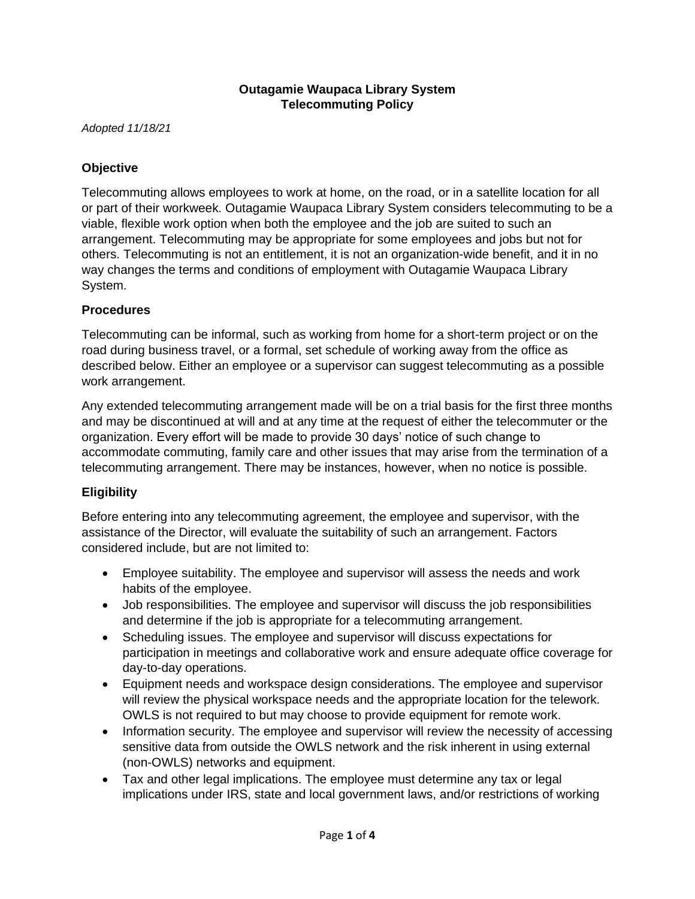### **Outagamie Waupaca Library System Telecommuting Policy**

*Adopted 11/18/21*

## **Objective**

Telecommuting allows employees to work at home, on the road, or in a satellite location for all or part of their workweek. Outagamie Waupaca Library System considers telecommuting to be a viable, flexible work option when both the employee and the job are suited to such an arrangement. Telecommuting may be appropriate for some employees and jobs but not for others. Telecommuting is not an entitlement, it is not an organization-wide benefit, and it in no way changes the terms and conditions of employment with Outagamie Waupaca Library System.

#### **Procedures**

Telecommuting can be informal, such as working from home for a short-term project or on the road during business travel, or a formal, set schedule of working away from the office as described below. Either an employee or a supervisor can suggest telecommuting as a possible work arrangement.

Any extended telecommuting arrangement made will be on a trial basis for the first three months and may be discontinued at will and at any time at the request of either the telecommuter or the organization. Every effort will be made to provide 30 days' notice of such change to accommodate commuting, family care and other issues that may arise from the termination of a telecommuting arrangement. There may be instances, however, when no notice is possible.

## **Eligibility**

Before entering into any telecommuting agreement, the employee and supervisor, with the assistance of the Director, will evaluate the suitability of such an arrangement. Factors considered include, but are not limited to:

- Employee suitability. The employee and supervisor will assess the needs and work habits of the employee.
- Job responsibilities. The employee and supervisor will discuss the job responsibilities and determine if the job is appropriate for a telecommuting arrangement.
- Scheduling issues. The employee and supervisor will discuss expectations for participation in meetings and collaborative work and ensure adequate office coverage for day-to-day operations.
- Equipment needs and workspace design considerations. The employee and supervisor will review the physical workspace needs and the appropriate location for the telework. OWLS is not required to but may choose to provide equipment for remote work.
- Information security. The employee and supervisor will review the necessity of accessing sensitive data from outside the OWLS network and the risk inherent in using external (non-OWLS) networks and equipment.
- Tax and other legal implications. The employee must determine any tax or legal implications under IRS, state and local government laws, and/or restrictions of working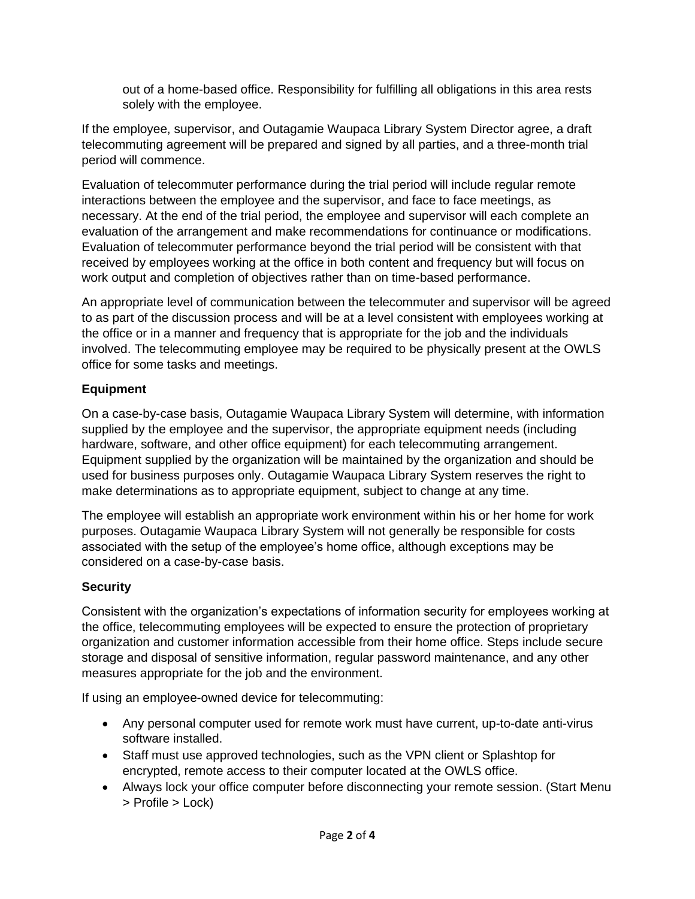out of a home-based office. Responsibility for fulfilling all obligations in this area rests solely with the employee.

If the employee, supervisor, and Outagamie Waupaca Library System Director agree, a draft telecommuting agreement will be prepared and signed by all parties, and a three-month trial period will commence.

Evaluation of telecommuter performance during the trial period will include regular remote interactions between the employee and the supervisor, and face to face meetings, as necessary. At the end of the trial period, the employee and supervisor will each complete an evaluation of the arrangement and make recommendations for continuance or modifications. Evaluation of telecommuter performance beyond the trial period will be consistent with that received by employees working at the office in both content and frequency but will focus on work output and completion of objectives rather than on time-based performance.

An appropriate level of communication between the telecommuter and supervisor will be agreed to as part of the discussion process and will be at a level consistent with employees working at the office or in a manner and frequency that is appropriate for the job and the individuals involved. The telecommuting employee may be required to be physically present at the OWLS office for some tasks and meetings.

# **Equipment**

On a case-by-case basis, Outagamie Waupaca Library System will determine, with information supplied by the employee and the supervisor, the appropriate equipment needs (including hardware, software, and other office equipment) for each telecommuting arrangement. Equipment supplied by the organization will be maintained by the organization and should be used for business purposes only. Outagamie Waupaca Library System reserves the right to make determinations as to appropriate equipment, subject to change at any time.

The employee will establish an appropriate work environment within his or her home for work purposes. Outagamie Waupaca Library System will not generally be responsible for costs associated with the setup of the employee's home office, although exceptions may be considered on a case-by-case basis.

## **Security**

Consistent with the organization's expectations of information security for employees working at the office, telecommuting employees will be expected to ensure the protection of proprietary organization and customer information accessible from their home office. Steps include secure storage and disposal of sensitive information, regular password maintenance, and any other measures appropriate for the job and the environment.

If using an employee-owned device for telecommuting:

- Any personal computer used for remote work must have current, up-to-date anti-virus software installed.
- Staff must use approved technologies, such as the VPN client or Splashtop for encrypted, remote access to their computer located at the OWLS office.
- Always lock your office computer before disconnecting your remote session. (Start Menu > Profile > Lock)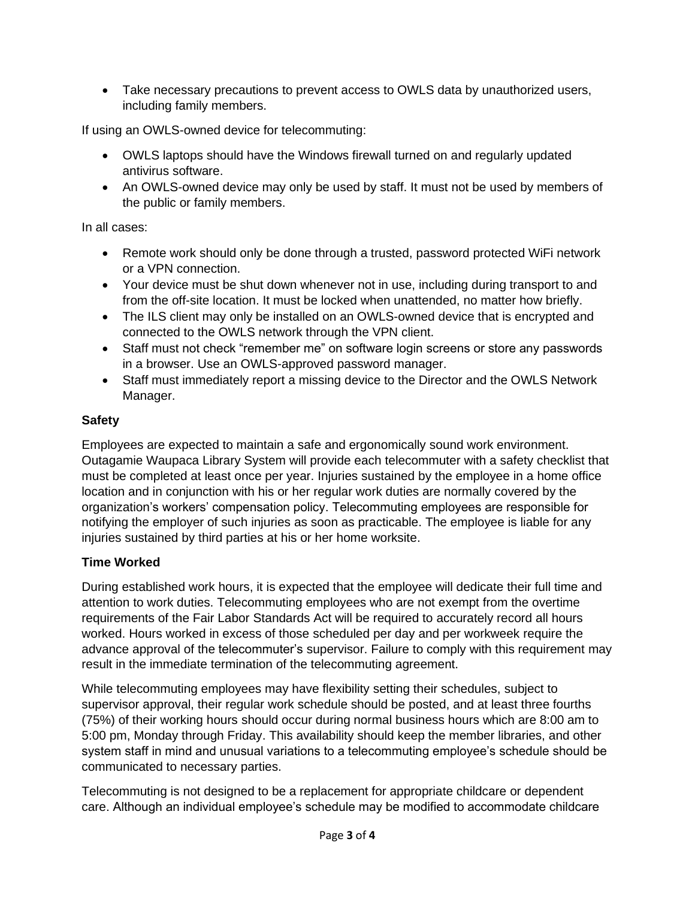• Take necessary precautions to prevent access to OWLS data by unauthorized users, including family members.

If using an OWLS-owned device for telecommuting:

- OWLS laptops should have the Windows firewall turned on and regularly updated antivirus software.
- An OWLS-owned device may only be used by staff. It must not be used by members of the public or family members.

In all cases:

- Remote work should only be done through a trusted, password protected WiFi network or a VPN connection.
- Your device must be shut down whenever not in use, including during transport to and from the off-site location. It must be locked when unattended, no matter how briefly.
- The ILS client may only be installed on an OWLS-owned device that is encrypted and connected to the OWLS network through the VPN client.
- Staff must not check "remember me" on software login screens or store any passwords in a browser. Use an OWLS-approved password manager.
- Staff must immediately report a missing device to the Director and the OWLS Network Manager.

# **Safety**

Employees are expected to maintain a safe and ergonomically sound work environment. Outagamie Waupaca Library System will provide each telecommuter with a safety checklist that must be completed at least once per year. Injuries sustained by the employee in a home office location and in conjunction with his or her regular work duties are normally covered by the organization's workers' compensation policy. Telecommuting employees are responsible for notifying the employer of such injuries as soon as practicable. The employee is liable for any injuries sustained by third parties at his or her home worksite.

## **Time Worked**

During established work hours, it is expected that the employee will dedicate their full time and attention to work duties. Telecommuting employees who are not exempt from the overtime requirements of the Fair Labor Standards Act will be required to accurately record all hours worked. Hours worked in excess of those scheduled per day and per workweek require the advance approval of the telecommuter's supervisor. Failure to comply with this requirement may result in the immediate termination of the telecommuting agreement.

While telecommuting employees may have flexibility setting their schedules, subject to supervisor approval, their regular work schedule should be posted, and at least three fourths (75%) of their working hours should occur during normal business hours which are 8:00 am to 5:00 pm, Monday through Friday. This availability should keep the member libraries, and other system staff in mind and unusual variations to a telecommuting employee's schedule should be communicated to necessary parties.

Telecommuting is not designed to be a replacement for appropriate childcare or dependent care. Although an individual employee's schedule may be modified to accommodate childcare